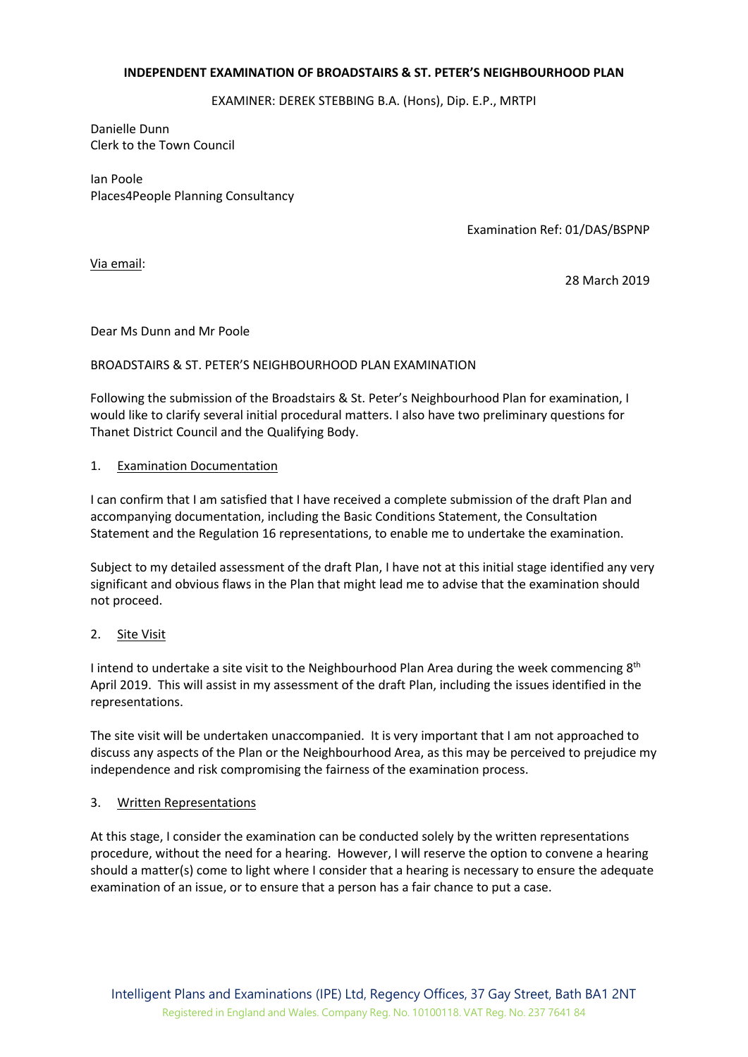#### **INDEPENDENT EXAMINATION OF BROADSTAIRS & ST. PETER'S NEIGHBOURHOOD PLAN**

EXAMINER: DEREK STEBBING B.A. (Hons), Dip. E.P., MRTPI

Danielle Dunn Clerk to the Town Council

Ian Poole Places4People Planning Consultancy

Examination Ref: 01/DAS/BSPNP

Via email:

28 March 2019

Dear Ms Dunn and Mr Poole

#### BROADSTAIRS & ST. PETER'S NEIGHBOURHOOD PLAN EXAMINATION

Following the submission of the Broadstairs & St. Peter's Neighbourhood Plan for examination, I would like to clarify several initial procedural matters. I also have two preliminary questions for Thanet District Council and the Qualifying Body.

### 1. Examination Documentation

I can confirm that I am satisfied that I have received a complete submission of the draft Plan and accompanying documentation, including the Basic Conditions Statement, the Consultation Statement and the Regulation 16 representations, to enable me to undertake the examination.

Subject to my detailed assessment of the draft Plan, I have not at this initial stage identified any very significant and obvious flaws in the Plan that might lead me to advise that the examination should not proceed.

### 2. Site Visit

I intend to undertake a site visit to the Neighbourhood Plan Area during the week commencing  $8<sup>th</sup>$ April 2019. This will assist in my assessment of the draft Plan, including the issues identified in the representations.

The site visit will be undertaken unaccompanied. It is very important that I am not approached to discuss any aspects of the Plan or the Neighbourhood Area, as this may be perceived to prejudice my independence and risk compromising the fairness of the examination process.

#### 3. Written Representations

At this stage, I consider the examination can be conducted solely by the written representations procedure, without the need for a hearing. However, I will reserve the option to convene a hearing should a matter(s) come to light where I consider that a hearing is necessary to ensure the adequate examination of an issue, or to ensure that a person has a fair chance to put a case.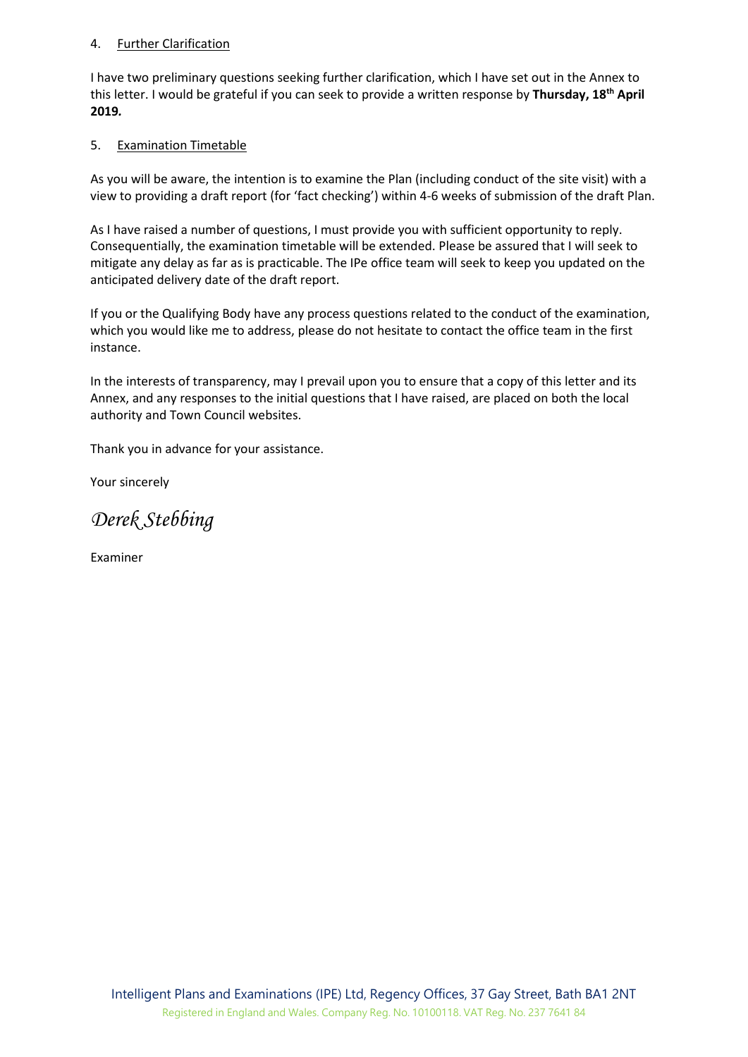### 4. Further Clarification

I have two preliminary questions seeking further clarification, which I have set out in the Annex to this letter. I would be grateful if you can seek to provide a written response by **Thursday, 18th April 2019***.*

### 5. Examination Timetable

As you will be aware, the intention is to examine the Plan (including conduct of the site visit) with a view to providing a draft report (for 'fact checking') within 4-6 weeks of submission of the draft Plan.

As I have raised a number of questions, I must provide you with sufficient opportunity to reply. Consequentially, the examination timetable will be extended. Please be assured that I will seek to mitigate any delay as far as is practicable. The IPe office team will seek to keep you updated on the anticipated delivery date of the draft report.

If you or the Qualifying Body have any process questions related to the conduct of the examination, which you would like me to address, please do not hesitate to contact the office team in the first instance.

In the interests of transparency, may I prevail upon you to ensure that a copy of this letter and its Annex, and any responses to the initial questions that I have raised, are placed on both the local authority and Town Council websites.

Thank you in advance for your assistance.

Your sincerely

*Derek Stebbing*

Examiner